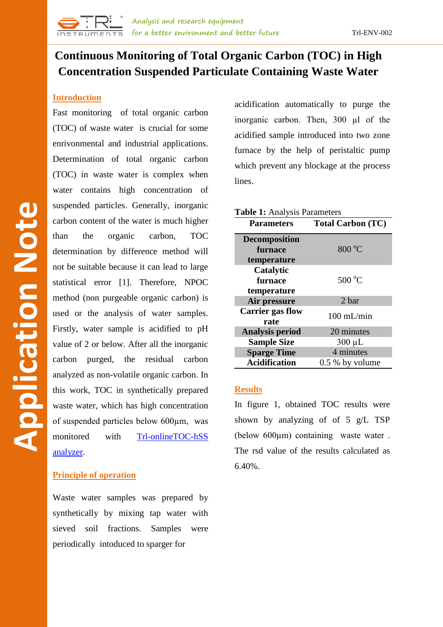# **Continuous Monitoring of Total Organic Carbon (TOC) in High Concentration Suspended Particulate Containing Waste Water**

### **Introduction**

Fast monitoring of total organic carbon (TOC) of waste water is crucial for some enrivonmental and industrial applications. Determination of total organic carbon (TOC) in waste water is complex when water contains high concentration of suspended particles. Generally, inorganic carbon content of the water is much higher than the organic carbon, TOC determination by difference method will not be suitable because it can lead to large statistical error [1]. Therefore, NPOC method (non purgeable organic carbon) is used or the analysis of water samples. Firstly, water sample is acidified to pH value of 2 or below. After all the inorganic carbon purged, the residual carbon analyzed as non-volatile organic carbon. In this work, TOC in synthetically prepared waste water, which has high concentration of suspended particles below 600µm, was monitored with [Trl-onlineTOC-hSS](http://www.trlinstruments.com/product/online-toc-analyzer.html)  [analyzer.](http://www.trlinstruments.com/product/online-toc-analyzer.html)

## **Principle of operation**

Waste water samples was prepared by synthetically by mixing tap water with sieved soil fractions. Samples were periodically intoduced to sparger for

acidification automatically to purge the inorganic carbon. Then, 300 µl of the acidified sample introduced into two zone furnace by the help of peristaltic pump which prevent any blockage at the process lines.

| <b>Table 1:</b> Analysis Parameters |                          |
|-------------------------------------|--------------------------|
| <b>Parameters</b>                   | <b>Total Carbon (TC)</b> |
| <b>Decomposition</b>                |                          |
| furnace                             | $800\text{ °C}$          |
| temperature                         |                          |
| Catalytic                           |                          |
| furnace                             | $500^{\circ}$ C          |
| temperature                         |                          |
| Air pressure                        | 2 bar                    |
| <b>Carrier gas flow</b>             | $100$ mL/min             |
| rate                                |                          |
| <b>Analysis period</b>              | 20 minutes               |
| <b>Sample Size</b>                  | $300 \mu L$              |
| <b>Sparge Time</b>                  | 4 minutes                |
| <b>Acidification</b>                | $0.5\%$ by volume        |

#### **Results**

In figure 1, obtained TOC results were shown by analyzing of of 5 g/L TSP (below 600µm) containing waste water . The rsd value of the results calculated as 6.40%.